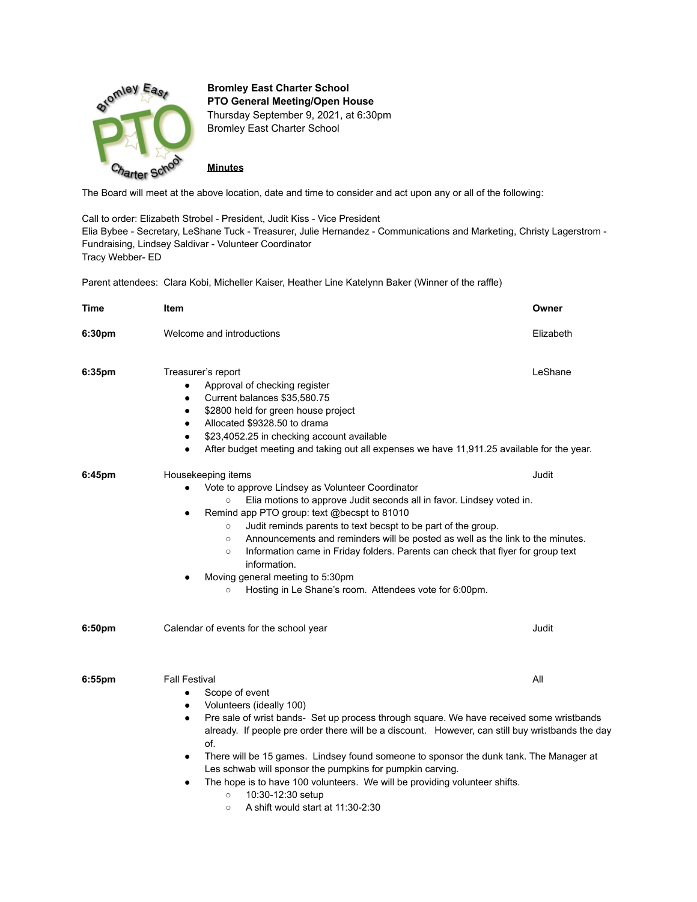

**Bromley East Charter School PTO General Meeting/Open House** Thursday September 9, 2021, at 6:30pm Bromley East Charter School

**Minutes**

The Board will meet at the above location, date and time to consider and act upon any or all of the following:

Call to order: Elizabeth Strobel - President, Judit Kiss - Vice President Elia Bybee - Secretary, LeShane Tuck - Treasurer, Julie Hernandez - Communications and Marketing, Christy Lagerstrom - Fundraising, Lindsey Saldivar - Volunteer Coordinator Tracy Webber- ED

Parent attendees: Clara Kobi, Micheller Kaiser, Heather Line Katelynn Baker (Winner of the raffle)

| Time      | Item                                                                                                                                                                                                                                                                                                                                                                                                                                                                                                                                                                                                                                                            | Owner     |
|-----------|-----------------------------------------------------------------------------------------------------------------------------------------------------------------------------------------------------------------------------------------------------------------------------------------------------------------------------------------------------------------------------------------------------------------------------------------------------------------------------------------------------------------------------------------------------------------------------------------------------------------------------------------------------------------|-----------|
| 6:30pm    | Welcome and introductions                                                                                                                                                                                                                                                                                                                                                                                                                                                                                                                                                                                                                                       | Elizabeth |
| 6:35pm    | Treasurer's report<br>Approval of checking register<br>$\bullet$<br>Current balances \$35,580.75<br>$\bullet$<br>\$2800 held for green house project<br>$\bullet$<br>Allocated \$9328.50 to drama<br>$\bullet$<br>\$23,4052.25 in checking account available<br>$\bullet$<br>After budget meeting and taking out all expenses we have 11,911.25 available for the year.<br>$\bullet$                                                                                                                                                                                                                                                                            | LeShane   |
| 6:45pm    | Housekeeping items<br>Vote to approve Lindsey as Volunteer Coordinator<br>Elia motions to approve Judit seconds all in favor. Lindsey voted in.<br>$\circ$<br>Remind app PTO group: text @becspt to 81010<br>Judit reminds parents to text becspt to be part of the group.<br>$\circ$<br>Announcements and reminders will be posted as well as the link to the minutes.<br>$\circ$<br>Information came in Friday folders. Parents can check that flyer for group text<br>$\circ$<br>information.<br>Moving general meeting to 5:30pm<br>Hosting in Le Shane's room. Attendees vote for 6:00pm.<br>$\circ$                                                       | Judit     |
| 6:50pm    | Calendar of events for the school year                                                                                                                                                                                                                                                                                                                                                                                                                                                                                                                                                                                                                          | Judit     |
| $6:55$ pm | <b>Fall Festival</b><br>Scope of event<br>$\bullet$<br>Volunteers (ideally 100)<br>$\bullet$<br>Pre sale of wrist bands- Set up process through square. We have received some wristbands<br>$\bullet$<br>already. If people pre order there will be a discount. However, can still buy wristbands the day<br>of.<br>There will be 15 games. Lindsey found someone to sponsor the dunk tank. The Manager at<br>$\bullet$<br>Les schwab will sponsor the pumpkins for pumpkin carving.<br>The hope is to have 100 volunteers. We will be providing volunteer shifts.<br>$\bullet$<br>10:30-12:30 setup<br>$\circ$<br>A shift would start at 11:30-2:30<br>$\circ$ | All       |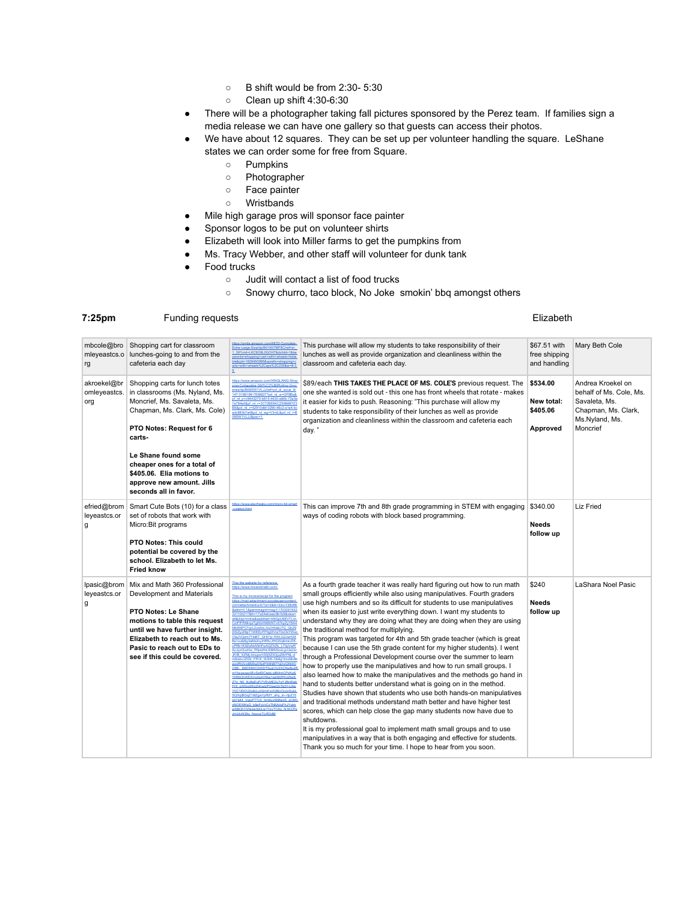- B shift would be from 2:30- 5:30
- Clean up shift 4:30-6:30
- There will be a photographer taking fall pictures sponsored by the Perez team. If families sign a media release we can have one gallery so that guests can access their photos.
- We have about 12 squares. They can be set up per volunteer handling the square. LeShane states we can order some for free from Square.
	- Pumpkins
	- Photographer
	- Face painter
	- Wristbands
- Mile high garage pros will sponsor face painter
- Sponsor logos to be put on volunteer shirts
- Elizabeth will look into Miller farms to get the pumpkins from
- Ms. Tracy Webber, and other staff will volunteer for dunk tank
- Food trucks
	- Judit will contact a list of food trucks
	- Snowy churro, taco block, No Joke smokin' bbq amongst others

## **7:25pm** Funding requests Elizabeth

| mbcole@bro<br>mleyeastcs.o<br>rg   | Shopping cart for classroom<br>lunches-going to and from the<br>cafeteria each day                                                                                                                                                                                                                              | https://smile.amazon.com/MOD-Comple<br>Extra-Large-Size/do/B01K07ME8C/refess<br>1 39?crid=LKC9O8L0GOH7&dchild=1&k<br>ywords=shopping+cart+with+wheels+fold;<br>ble&qid=1628450995&sprefix=shopping+c<br>arts+with+wheels%2Caps%2C235&sr=8-3                                                                                                                                                                                                                                                                                                                                                                                                                                                                                                                                                                                                                                                                                                                                                                                                                                                                       | This purchase will allow my students to take responsibility of their<br>lunches as well as provide organization and cleanliness within the<br>classroom and cafeteria each day.                                                                                                                                                                                                                                                                                                                                                                                                                                                                                                                                                                                                                                                                                                                                                                                                                                                                                                                                                                                                                                                                                                                                                         | \$67.51 with<br>free shipping<br>and handling  | Mary Beth Cole                                                                                                     |
|------------------------------------|-----------------------------------------------------------------------------------------------------------------------------------------------------------------------------------------------------------------------------------------------------------------------------------------------------------------|-------------------------------------------------------------------------------------------------------------------------------------------------------------------------------------------------------------------------------------------------------------------------------------------------------------------------------------------------------------------------------------------------------------------------------------------------------------------------------------------------------------------------------------------------------------------------------------------------------------------------------------------------------------------------------------------------------------------------------------------------------------------------------------------------------------------------------------------------------------------------------------------------------------------------------------------------------------------------------------------------------------------------------------------------------------------------------------------------------------------|-----------------------------------------------------------------------------------------------------------------------------------------------------------------------------------------------------------------------------------------------------------------------------------------------------------------------------------------------------------------------------------------------------------------------------------------------------------------------------------------------------------------------------------------------------------------------------------------------------------------------------------------------------------------------------------------------------------------------------------------------------------------------------------------------------------------------------------------------------------------------------------------------------------------------------------------------------------------------------------------------------------------------------------------------------------------------------------------------------------------------------------------------------------------------------------------------------------------------------------------------------------------------------------------------------------------------------------------|------------------------------------------------|--------------------------------------------------------------------------------------------------------------------|
| akroekel@br<br>omleyeastcs.<br>org | Shopping carts for lunch totes<br>in classrooms (Ms. Nyland, Ms.<br>Moncrief, Ms. Savaleta, Ms.<br>Chapman, Ms. Clark, Ms. Cole)<br>PTO Notes: Request for 6<br>carts-<br>Le Shane found some<br>cheaper ones for a total of<br>\$405.06. Elia motions to<br>approve new amount. Jills<br>seconds all in favor. | https://www.amazon.com/XINGLANG-Shor<br>ping-Collapsible-360%C2%B0Rolling-Grod<br>eries/dp/B08SW1VLJJ/ref=pd di sccai 6/<br>147-3189199-7838827?pd rd w=GF8Bol<br>pf rd p=c9443270-b914-4430-a90b-72e3<br>7e784e0&pf rd r=3C726E6KCZ5988B7Z<br>B5&pd_rd_r=52910dbf-0290-46c2-a1e4-bo<br>adc883b7a4&pd rd wg=V3rdL&pd rd i=8<br>08SW1VLJJ&osc=1                                                                                                                                                                                                                                                                                                                                                                                                                                                                                                                                                                                                                                                                                                                                                                    | \$89/each THIS TAKES THE PLACE OF MS. COLE'S previous request. The<br>one she wanted is sold out - this one has front wheels that rotate - makes<br>it easier for kids to push. Reasoning: "This purchase will allow my<br>students to take responsibility of their lunches as well as provide<br>organization and cleanliness within the classroom and cafeteria each<br>day."                                                                                                                                                                                                                                                                                                                                                                                                                                                                                                                                                                                                                                                                                                                                                                                                                                                                                                                                                         | \$534.00<br>New total:<br>\$405.06<br>Approved | Andrea Kroekel on<br>behalf of Ms. Cole, Ms.<br>Savaleta, Ms.<br>Chapman, Ms. Clark,<br>Ms.Nyland, Ms.<br>Moncrief |
| efried@brom<br>leyeastcs.or<br>g   | Smart Cute Bots (10) for a class<br>set of robots that work with<br>Micro:Bit programs<br><b>PTO Notes: This could</b><br>potential be covered by the<br>school. Elizabeth to let Ms.<br><b>Fried know</b>                                                                                                      | https://www.elecfreaks.com/micro-bit-sn<br>-cutebot.html                                                                                                                                                                                                                                                                                                                                                                                                                                                                                                                                                                                                                                                                                                                                                                                                                                                                                                                                                                                                                                                          | This can improve 7th and 8th grade programming in STEM with engaging<br>ways of coding robots with block based programming.                                                                                                                                                                                                                                                                                                                                                                                                                                                                                                                                                                                                                                                                                                                                                                                                                                                                                                                                                                                                                                                                                                                                                                                                             | \$340.00<br>Needs<br>follow up                 | Liz Fried                                                                                                          |
| lpasic@brom<br>leyeastcs.or<br>g   | Mix and Math 360 Professional<br>Development and Materials<br>PTO Notes: Le Shane<br>motions to table this request<br>until we have further insight.<br>Elizabeth to reach out to Ms.<br>Pasic to reach out to EDs to<br>see if this could be covered.                                                          | This the website for reference<br>https://www.mixandmath.com/<br>This is my invoice/recipt for the program<br>httns://mail-attachment.ooogleuserconte<br>com/attachment/u/0/?ui=2&ik=33cc7282<br>&attid=0.1&permmsgid=msg-f:170329193<br>321100217&th=17a34efceec9b1b9&view<br>att&disp=inline&saddbat=ANGjdJ9EVTLn<br>CztFfFRMirosToKfzIWiB0NTvtt7koZvY8A<br>Mki5NPO7qvL2us5nLiVu0r5deU7G GbZ!<br>DSIZvi2l9oT1WEEnFP0qWVsiT0xOkYWx<br>Ola IVOzm7YNRT GH01n-HXII G2.N/H2<br>Bs1zu6i6g3eMaXqJHR5cJfHQSg6mkcD5<br>oPRb1K9Za5dANhFwAQZXZb L70pVwF<br>AuJvzQvzHw_PifpidHd-D8fASoxLavUaLb<br>JfVB_XZNtj-ImiupxrVIDj5ZXQju29VP9L-d<br>mtbsbvJZI2b_FPr3I_0UKK-Ob9g1tmzMoB<br>wndRr2vxj8MAaX5ptPX6NR77sDyiQNI4O<br>OIIE- 618ONWO3WDT5usIVU2XCftw8or<br>mYksvenaclEvDefDCtehl.nlRl4mCPzKnS<br>YiIRbOhWDXVo0oAYfAw1iw080PKxWwk<br>Z7o N0 NJ8eEuFj7VEyMD2u7gYJBn6let<br>FHi gXl0xg0KgZ4nwlzPOweOnTa3Y-UAe<br>Y0C1IDOU2o8cLz03mill-kXl26oOcznSub<br>SQXdBGqZ1i8Zgw1pRdY_ahy_in--llpZ15<br>gk7a44 VgigFTTOr hm9uvSt9fwxS zC8)<br>dNOEWKsD_b9eFoVrCxTN6AilgFhJYvbh<br>wSBCK1IVIspw3dcLw1YzvTOXz_N1KCP<br>vhUdvN39u NopxzTLtR3dM | As a fourth grade teacher it was really hard figuring out how to run math<br>small groups efficiently while also using manipulatives. Fourth graders<br>use high numbers and so its difficult for students to use manipulatives<br>when its easier to just write everything down. I want my students to<br>understand why they are doing what they are doing when they are using<br>the traditional method for multiplying.<br>This program was targeted for 4th and 5th grade teacher (which is great<br>because I can use the 5th grade content for my higher students). I went<br>through a Professional Development course over the summer to learn<br>how to properly use the manipulatives and how to run small groups. I<br>also learned how to make the manipulatives and the methods go hand in<br>hand to students better understand what is going on in the method.<br>Studies have shown that students who use both hands-on manipulatives<br>and traditional methods understand math better and have higher test<br>scores, which can help close the gap many students now have due to<br>shutdowns.<br>It is my professional goal to implement math small groups and to use<br>manipulatives in a way that is both engaging and effective for students.<br>Thank you so much for your time. I hope to hear from you soon. | \$240<br><b>Needs</b><br>follow up             | LaShara Noel Pasic                                                                                                 |